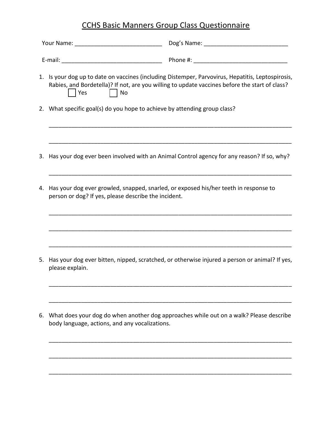## CCHS Basic Manners Group Class Questionnaire

|  | 1. Is your dog up to date on vaccines (including Distemper, Parvovirus, Hepatitis, Leptospirosis,<br>Rabies, and Bordetella)? If not, are you willing to update vaccines before the start of class?<br>  Yes     No |                                                                                                  |
|--|---------------------------------------------------------------------------------------------------------------------------------------------------------------------------------------------------------------------|--------------------------------------------------------------------------------------------------|
|  | 2. What specific goal(s) do you hope to achieve by attending group class?                                                                                                                                           |                                                                                                  |
|  |                                                                                                                                                                                                                     |                                                                                                  |
|  |                                                                                                                                                                                                                     | 3. Has your dog ever been involved with an Animal Control agency for any reason? If so, why?     |
|  | 4. Has your dog ever growled, snapped, snarled, or exposed his/her teeth in response to<br>person or dog? If yes, please describe the incident.                                                                     |                                                                                                  |
|  |                                                                                                                                                                                                                     |                                                                                                  |
|  |                                                                                                                                                                                                                     |                                                                                                  |
|  | please explain.                                                                                                                                                                                                     | 5. Has your dog ever bitten, nipped, scratched, or otherwise injured a person or animal? If yes, |
|  |                                                                                                                                                                                                                     |                                                                                                  |
|  | body language, actions, and any vocalizations.                                                                                                                                                                      | 6. What does your dog do when another dog approaches while out on a walk? Please describe        |
|  |                                                                                                                                                                                                                     |                                                                                                  |

\_\_\_\_\_\_\_\_\_\_\_\_\_\_\_\_\_\_\_\_\_\_\_\_\_\_\_\_\_\_\_\_\_\_\_\_\_\_\_\_\_\_\_\_\_\_\_\_\_\_\_\_\_\_\_\_\_\_\_\_\_\_\_\_\_\_\_\_\_\_\_\_\_\_\_

\_\_\_\_\_\_\_\_\_\_\_\_\_\_\_\_\_\_\_\_\_\_\_\_\_\_\_\_\_\_\_\_\_\_\_\_\_\_\_\_\_\_\_\_\_\_\_\_\_\_\_\_\_\_\_\_\_\_\_\_\_\_\_\_\_\_\_\_\_\_\_\_\_\_\_